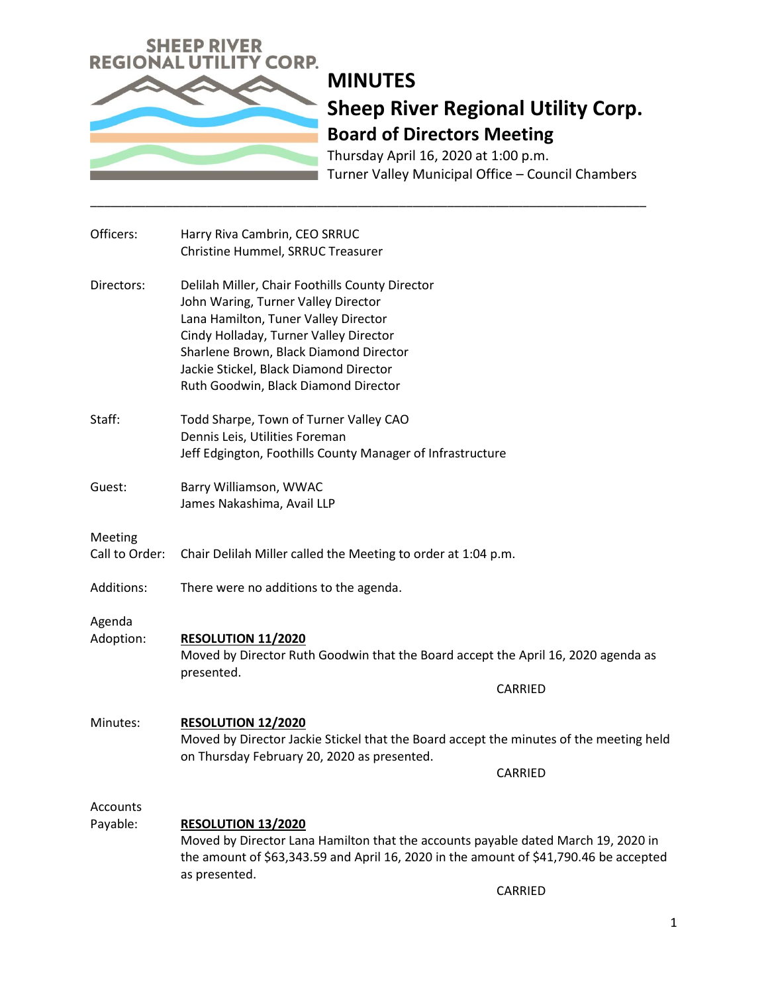

Thursday April 16, 2020 at 1:00 p.m. Turner Valley Municipal Office – Council Chambers

| Officers:                 | Harry Riva Cambrin, CEO SRRUC<br>Christine Hummel, SRRUC Treasurer                                                                                                                                                                                                                                   |                |
|---------------------------|------------------------------------------------------------------------------------------------------------------------------------------------------------------------------------------------------------------------------------------------------------------------------------------------------|----------------|
| Directors:                | Delilah Miller, Chair Foothills County Director<br>John Waring, Turner Valley Director<br>Lana Hamilton, Tuner Valley Director<br>Cindy Holladay, Turner Valley Director<br>Sharlene Brown, Black Diamond Director<br>Jackie Stickel, Black Diamond Director<br>Ruth Goodwin, Black Diamond Director |                |
| Staff:                    | Todd Sharpe, Town of Turner Valley CAO<br>Dennis Leis, Utilities Foreman<br>Jeff Edgington, Foothills County Manager of Infrastructure                                                                                                                                                               |                |
| Guest:                    | Barry Williamson, WWAC<br>James Nakashima, Avail LLP                                                                                                                                                                                                                                                 |                |
| Meeting<br>Call to Order: | Chair Delilah Miller called the Meeting to order at 1:04 p.m.                                                                                                                                                                                                                                        |                |
| Additions:                | There were no additions to the agenda.                                                                                                                                                                                                                                                               |                |
| Agenda<br>Adoption:       | <b>RESOLUTION 11/2020</b><br>Moved by Director Ruth Goodwin that the Board accept the April 16, 2020 agenda as<br>presented.                                                                                                                                                                         | <b>CARRIED</b> |
| Minutes:                  | RESOLUTION 12/2020<br>Moved by Director Jackie Stickel that the Board accept the minutes of the meeting held<br>on Thursday February 20, 2020 as presented.                                                                                                                                          | <b>CARRIED</b> |
| Accounts<br>Payable:      | RESOLUTION 13/2020<br>Moved by Director Lana Hamilton that the accounts payable dated March 19, 2020 in<br>the amount of \$63,343.59 and April 16, 2020 in the amount of \$41,790.46 be accepted<br>as presented.<br>CARRIED                                                                         |                |

\_\_\_\_\_\_\_\_\_\_\_\_\_\_\_\_\_\_\_\_\_\_\_\_\_\_\_\_\_\_\_\_\_\_\_\_\_\_\_\_\_\_\_\_\_\_\_\_\_\_\_\_\_\_\_\_\_\_\_\_\_\_\_\_\_\_\_\_\_\_\_\_\_\_\_\_\_\_\_\_\_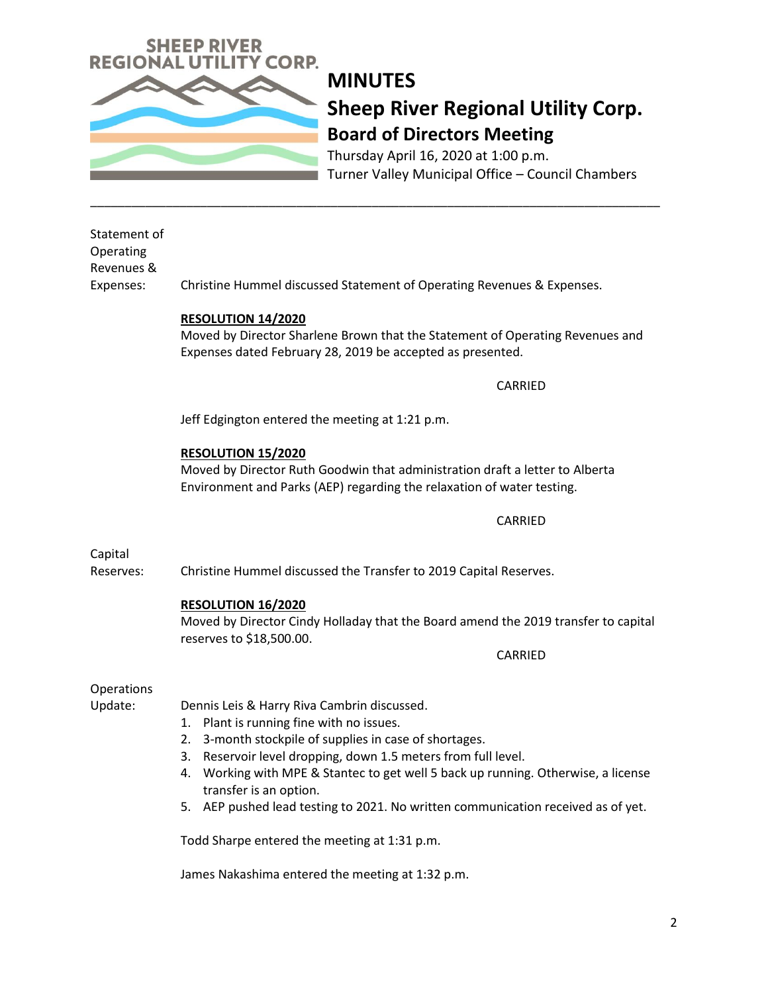

Thursday April 16, 2020 at 1:00 p.m. Turner Valley Municipal Office – Council Chambers

### Statement of Operating Revenues &

Expenses: Christine Hummel discussed Statement of Operating Revenues & Expenses.

\_\_\_\_\_\_\_\_\_\_\_\_\_\_\_\_\_\_\_\_\_\_\_\_\_\_\_\_\_\_\_\_\_\_\_\_\_\_\_\_\_\_\_\_\_\_\_\_\_\_\_\_\_\_\_\_\_\_\_\_\_\_\_\_\_\_\_\_\_\_\_\_\_\_\_\_\_\_\_\_\_\_\_

#### **RESOLUTION 14/2020**

Moved by Director Sharlene Brown that the Statement of Operating Revenues and Expenses dated February 28, 2019 be accepted as presented.

CARRIED

Jeff Edgington entered the meeting at 1:21 p.m.

### **RESOLUTION 15/2020**

Moved by Director Ruth Goodwin that administration draft a letter to Alberta Environment and Parks (AEP) regarding the relaxation of water testing.

CARRIED

Capital

Reserves: Christine Hummel discussed the Transfer to 2019 Capital Reserves.

#### **RESOLUTION 16/2020**

Moved by Director Cindy Holladay that the Board amend the 2019 transfer to capital reserves to \$18,500.00.

CARRIED

#### **Operations**

Update: Dennis Leis & Harry Riva Cambrin discussed.

- 1. Plant is running fine with no issues.
- 2. 3-month stockpile of supplies in case of shortages.
- 3. Reservoir level dropping, down 1.5 meters from full level.
- 4. Working with MPE & Stantec to get well 5 back up running. Otherwise, a license transfer is an option.
- 5. AEP pushed lead testing to 2021. No written communication received as of yet.

Todd Sharpe entered the meeting at 1:31 p.m.

James Nakashima entered the meeting at 1:32 p.m.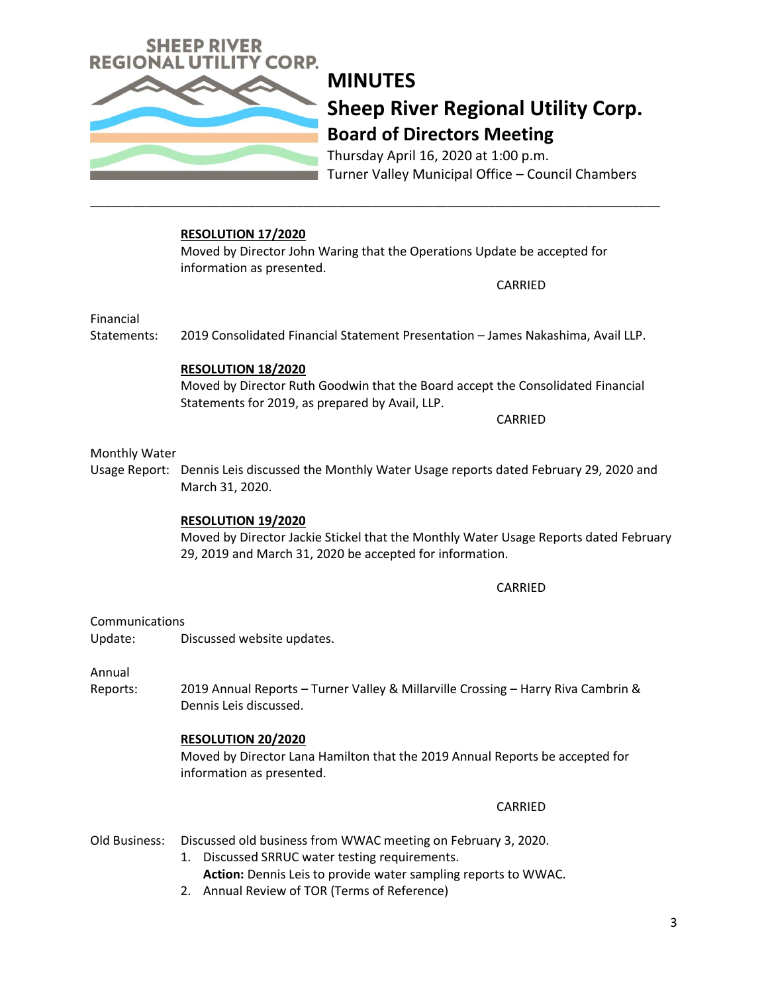

Thursday April 16, 2020 at 1:00 p.m. Turner Valley Municipal Office – Council Chambers

#### **RESOLUTION 17/2020**

Moved by Director John Waring that the Operations Update be accepted for information as presented.

\_\_\_\_\_\_\_\_\_\_\_\_\_\_\_\_\_\_\_\_\_\_\_\_\_\_\_\_\_\_\_\_\_\_\_\_\_\_\_\_\_\_\_\_\_\_\_\_\_\_\_\_\_\_\_\_\_\_\_\_\_\_\_\_\_\_\_\_\_\_\_\_\_\_\_\_\_\_\_\_\_\_\_

CARRIED

Financial

Statements: 2019 Consolidated Financial Statement Presentation – James Nakashima, Avail LLP.

### **RESOLUTION 18/2020**

Moved by Director Ruth Goodwin that the Board accept the Consolidated Financial Statements for 2019, as prepared by Avail, LLP.

CARRIED

#### Monthly Water

Usage Report: Dennis Leis discussed the Monthly Water Usage reports dated February 29, 2020 and March 31, 2020.

#### **RESOLUTION 19/2020**

Moved by Director Jackie Stickel that the Monthly Water Usage Reports dated February 29, 2019 and March 31, 2020 be accepted for information.

#### CARRIED

Communications

Update: Discussed website updates.

Annual

Reports: 2019 Annual Reports – Turner Valley & Millarville Crossing – Harry Riva Cambrin & Dennis Leis discussed.

#### **RESOLUTION 20/2020**

Moved by Director Lana Hamilton that the 2019 Annual Reports be accepted for information as presented.

#### CARRIED

#### Old Business: Discussed old business from WWAC meeting on February 3, 2020.

- 1. Discussed SRRUC water testing requirements. **Action:** Dennis Leis to provide water sampling reports to WWAC.
- 2. Annual Review of TOR (Terms of Reference)